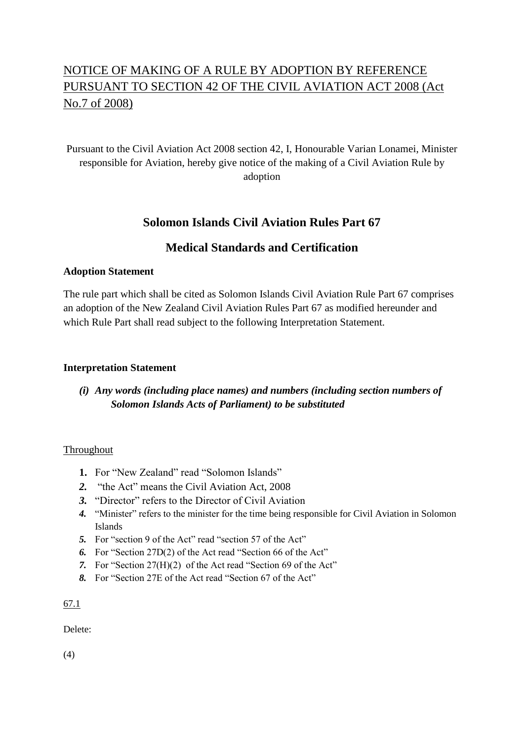# NOTICE OF MAKING OF A RULE BY ADOPTION BY REFERENCE PURSUANT TO SECTION 42 OF THE CIVIL AVIATION ACT 2008 (Act No.7 of 2008)

# Pursuant to the Civil Aviation Act 2008 section 42, I, Honourable Varian Lonamei, Minister responsible for Aviation, hereby give notice of the making of a Civil Aviation Rule by adoption

# **Solomon Islands Civil Aviation Rules Part 67**

# **Medical Standards and Certification**

#### **Adoption Statement**

The rule part which shall be cited as Solomon Islands Civil Aviation Rule Part 67 comprises an adoption of the New Zealand Civil Aviation Rules Part 67 as modified hereunder and which Rule Part shall read subject to the following Interpretation Statement.

#### **Interpretation Statement**

### *(i) Any words (including place names) and numbers (including section numbers of Solomon Islands Acts of Parliament) to be substituted*

#### Throughout

- 1. For "New Zealand" read "Solomon Islands"
- *2.* "the Act" means the Civil Aviation Act, 2008
- *3.* "Director" refers to the Director of Civil Aviation
- *4.* "Minister" refers to the minister for the time being responsible for Civil Aviation in Solomon Islands
- *5.* For "section 9 of the Act" read "section 57 of the Act"
- *6.* For "Section 27D(2) of the Act read "Section 66 of the Act"
- *7.* For "Section 27(H)(2) of the Act read "Section 69 of the Act"
- *8.* For "Section 27E of the Act read "Section 67 of the Act"

#### 67.1

Delete:

(4)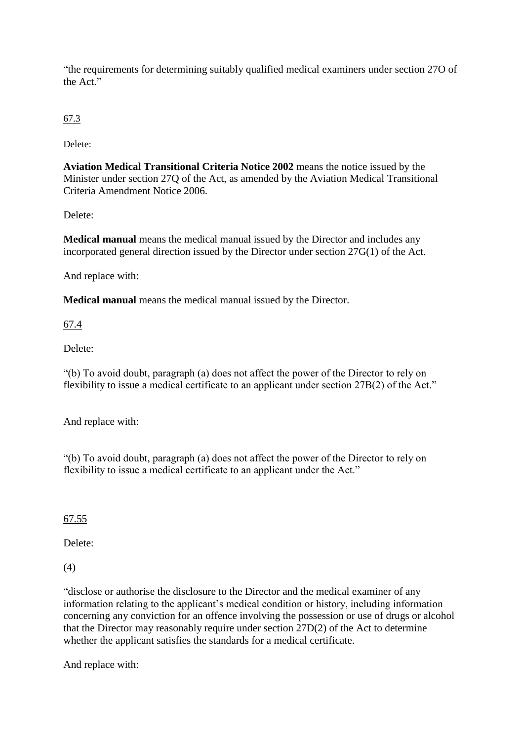"the requirements for determining suitably qualified medical examiners under section 27O of the Act."

67.3

Delete<sup>.</sup>

**Aviation Medical Transitional Criteria Notice 2002** means the notice issued by the Minister under section 27Q of the Act, as amended by the Aviation Medical Transitional Criteria Amendment Notice 2006.

Delete:

**Medical manual** means the medical manual issued by the Director and includes any incorporated general direction issued by the Director under section 27G(1) of the Act.

And replace with:

**Medical manual** means the medical manual issued by the Director.

67.4

Delete:

"(b) To avoid doubt, paragraph (a) does not affect the power of the Director to rely on flexibility to issue a medical certificate to an applicant under section 27B(2) of the Act."

And replace with:

"(b) To avoid doubt, paragraph (a) does not affect the power of the Director to rely on flexibility to issue a medical certificate to an applicant under the Act."

67.55

Delete:

(4)

"disclose or authorise the disclosure to the Director and the medical examiner of any information relating to the applicant's medical condition or history, including information concerning any conviction for an offence involving the possession or use of drugs or alcohol that the Director may reasonably require under section 27D(2) of the Act to determine whether the applicant satisfies the standards for a medical certificate.

And replace with: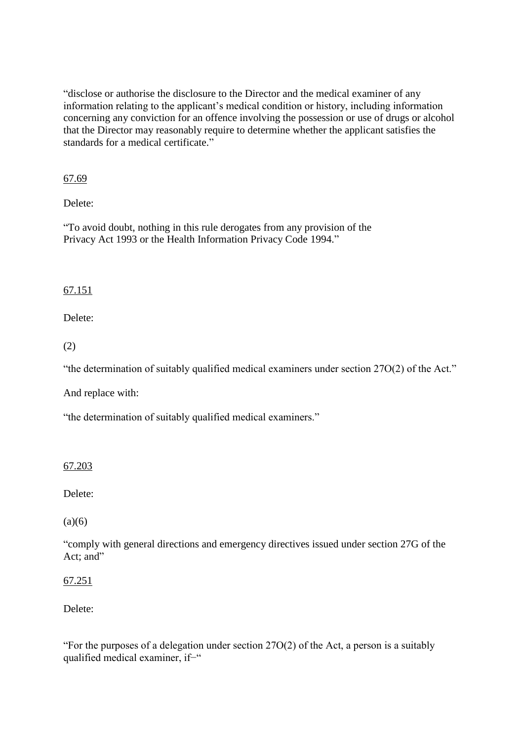"disclose or authorise the disclosure to the Director and the medical examiner of any information relating to the applicant's medical condition or history, including information concerning any conviction for an offence involving the possession or use of drugs or alcohol that the Director may reasonably require to determine whether the applicant satisfies the standards for a medical certificate."

67.69

Delete:

"To avoid doubt, nothing in this rule derogates from any provision of the Privacy Act 1993 or the Health Information Privacy Code 1994."

#### 67.151

Delete:

(2)

"the determination of suitably qualified medical examiners under section 27O(2) of the Act."

And replace with:

"the determination of suitably qualified medical examiners."

### 67.203

Delete:

 $(a)(6)$ 

"comply with general directions and emergency directives issued under section 27G of the Act: and"

67.251

Delete:

"For the purposes of a delegation under section 27O(2) of the Act, a person is a suitably qualified medical examiner, if−"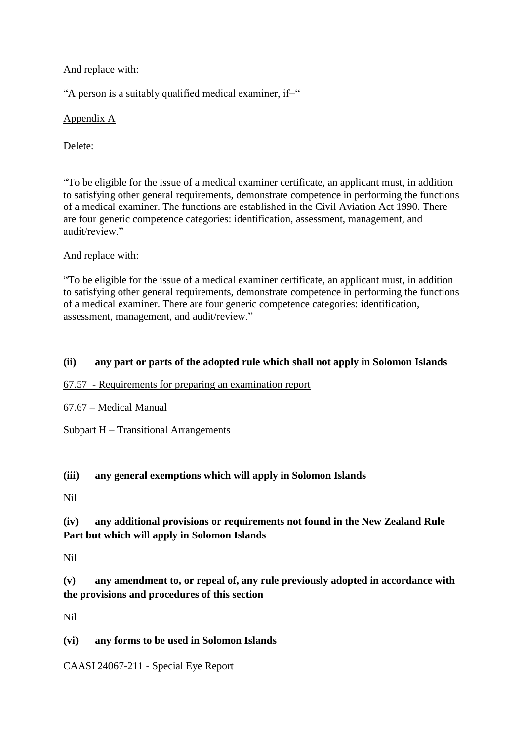And replace with:

"A person is a suitably qualified medical examiner, if−"

Appendix A

Delete:

"To be eligible for the issue of a medical examiner certificate, an applicant must, in addition to satisfying other general requirements, demonstrate competence in performing the functions of a medical examiner. The functions are established in the Civil Aviation Act 1990. There are four generic competence categories: identification, assessment, management, and audit/review."

And replace with:

"To be eligible for the issue of a medical examiner certificate, an applicant must, in addition to satisfying other general requirements, demonstrate competence in performing the functions of a medical examiner. There are four generic competence categories: identification, assessment, management, and audit/review."

### **(ii) any part or parts of the adopted rule which shall not apply in Solomon Islands**

#### 67.57 - Requirements for preparing an examination report

### 67.67 – Medical Manual

#### Subpart H – Transitional Arrangements

### **(iii) any general exemptions which will apply in Solomon Islands**

Nil

# **(iv) any additional provisions or requirements not found in the New Zealand Rule Part but which will apply in Solomon Islands**

Nil

# **(v) any amendment to, or repeal of, any rule previously adopted in accordance with the provisions and procedures of this section**

Nil

### **(vi) any forms to be used in Solomon Islands**

CAASI 24067-211 - [Special Eye Report](http://www.caa.govt.nz/fulltext/Personnel/medical_eye_report.pdf)